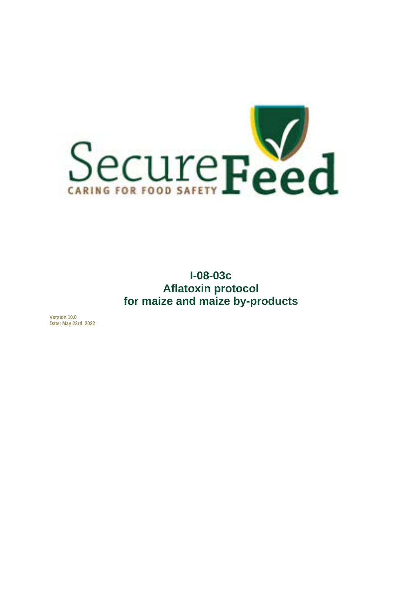

**I-08-03c Aflatoxin protocol for maize and maize by-products**

**Version 10.0 Date: May 23rd 2022**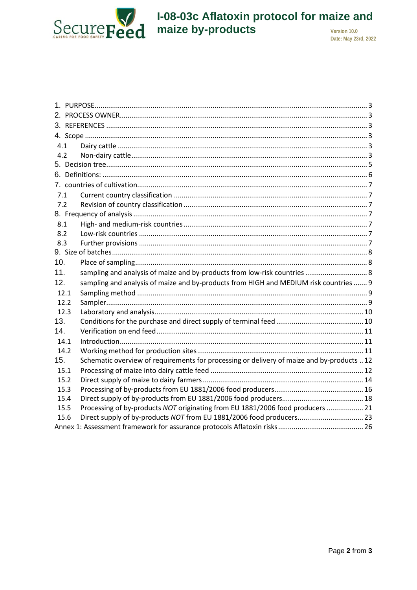

# I-08-03c Aflatoxin protocol for maize and<br>maize by-products

Date: May 23rd, 2022

| 4.1  |                                                                                            |
|------|--------------------------------------------------------------------------------------------|
| 4.2  |                                                                                            |
|      |                                                                                            |
|      |                                                                                            |
|      |                                                                                            |
| 7.1  |                                                                                            |
| 7.2  |                                                                                            |
|      |                                                                                            |
| 8.1  |                                                                                            |
| 8.2  |                                                                                            |
| 8.3  |                                                                                            |
|      |                                                                                            |
| 10.  |                                                                                            |
| 11.  | sampling and analysis of maize and by-products from low-risk countries  8                  |
| 12.  | sampling and analysis of maize and by-products from HIGH and MEDIUM risk countries  9      |
| 12.1 |                                                                                            |
| 12.2 |                                                                                            |
| 12.3 |                                                                                            |
| 13.  |                                                                                            |
| 14.  |                                                                                            |
| 14.1 |                                                                                            |
| 14.2 |                                                                                            |
| 15.  | Schematic overview of requirements for processing or delivery of maize and by-products  12 |
| 15.1 |                                                                                            |
| 15.2 |                                                                                            |
| 15.3 |                                                                                            |
| 15.4 |                                                                                            |
| 15.5 | Processing of by-products NOT originating from EU 1881/2006 food producers  21             |
| 15.6 | Direct supply of by-products NOT from EU 1881/2006 food producers 23                       |
|      |                                                                                            |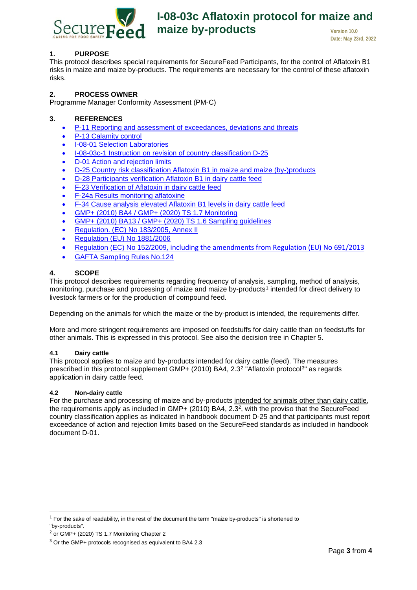

#### <span id="page-2-0"></span>**1. PURPOSE**

This protocol describes special requirements for SecureFeed Participants, for the control of Aflatoxin B1 risks in maize and maize by-products. The requirements are necessary for the control of these aflatoxin risks.

#### <span id="page-2-1"></span>**2. PROCESS OWNER**

<span id="page-2-2"></span>Programme Manager Conformity Assessment (PM-C)

#### **3. REFERENCES**

- P-11 Reporting and [assessment](https://securefeed.eu/system/files/2021-07/P-11%20Melden%20en%20beoordelen%20van%20overschrijdingen%20afwijkingen%20en%20bedreigingen.pdf) of exceedances, deviations and threats
- [P-13 Calamity control](https://securefeed.eu/system/files/2021-05/P-13%20Calamiteitenbeheersing.pdf)
- [I-08-01 Selection Laboratories](https://securefeed.eu/system/files/2020-06/I-08-01%20Selectie%20en%20beoordeling%20van%20laboratoria.pdf)
- I-08-03c-1 Instruction on revision of country classification D-25
- [D-01 Action and rejection limits](https://securefeed.eu/sites/default/files/2021-06/D-01%20Actie-en%20afkeurgrenzen.pdf)
- [D-25 Country risk classification Aflatoxin B1 in maize and maize \(by-\)products](https://securefeed.eu/sites/default/files/2021-09/D-25%20Risico-indeling%20landen%20Aflatoxine%20B1%20in%20ma%C3%AFs%20en%20ma%C3%AFs%28bij-%29producten.pdf)
- [D-28 Participants verification Aflatoxin B1 in dairy cattle feed](https://securefeed.mijnscienta.nl/Articles/article/CO6050b1c581d4f2.16471452/)
- [F-23 Verification of Aflatoxin in dairy cattle feed](https://securefeed.eu/system/files/2018-04/F-23%20Verificatie%20Aflatoxine%20melkveevoeders.xlsx)
- [F-24a Results monitoring aflatoxine](https://securefeed.eu/system/files/2020-10/F-24a%20Resultaten%20monitoring%20aflatoxine.xlsx)
- F-34 Cause analysis elevated Aflatoxin B1 levels in dairy cattle feed
- [GMP+ \(2010\) BA4](https://www.gmpplus.org/media/0gvm5pwj/gmp-ba4-nl-aflatoxin-b1-protocol-versie-20-september-2021.pdf) / [GMP+ \(2020\) TS 1.7 Monitoring](https://www.gmpplus.org/media/4l2mmmux/ts-1-7-monitoring-nl.pdf)
- [GMP+ \(2010\) BA13](https://www.gmpplus.org/media/o2mlwo3s/gmp-ba13-nl-20150101.pdf) / [GMP+ \(2020\) TS 1.6 Sampling guidelines](https://www.gmpplus.org/media/enwahuj2/ts-1-6-monstername.pdf)
- [Regulation. \(EC\) No 183/2005, Annex II](https://eur-lex.europa.eu/legal-content/NL/TXT/HTML/?uri=CELEX:32005R0183&from=NL#d1e32-15-1)
- [Regulation \(EU\) No 1881/2006](https://eur-lex.europa.eu/LexUriServ/LexUriServ.do?uri=OJ:L:2006:364:0005:0024:NL:PDF)
- [Regulation \(EC\) No 152/2009](https://eur-lex.europa.eu/legal-content/NL/TXT/HTML/?uri=CELEX:32013R0691&from=NL), including the amendments from Regulation (EU) No 691/2013
- [GAFTA Sampling Rules No.124](https://www.gafta.com/write/MediaUploads/Contracts/2018/124_2018.pdf)

#### <span id="page-2-3"></span>**4. SCOPE**

This protocol describes requirements regarding frequency of analysis, sampling, method of analysis, monitoring, purchase and processing of maize and maize by-products[1](#page-2-6) intended for direct delivery to livestock farmers or for the production of compound feed.

Depending on the animals for which the maize or the by-product is intended, the requirements differ.

More and more stringent requirements are imposed on feedstuffs for dairy cattle than on feedstuffs for other animals. This is expressed in this protocol. See also the decision tree in Chapter 5.

#### <span id="page-2-4"></span>**4.1 Dairy cattle**

This protocol applies to maize and by-products intended for dairy cattle (feed). The measures prescribed in this protocol supplement GMP+ (2010) BA4, 2.3[2](#page-2-7) "Aflatoxin protocol[3"](#page-2-8) as regards application in dairy cattle feed.

#### <span id="page-2-5"></span>**4.2 Non-dairy cattle**

For the purchase and processing of maize and by-products intended for animals other than dairy cattle, the requirements apply as included in GMP+ (2010) BA4, 2.32, with the proviso that the SecureFeed country classification applies as indicated in handbook document D-25 and that participants must report exceedance of action and rejection limits based on the SecureFeed standards as included in handbook document D-01.

<span id="page-2-6"></span> $1$  For the sake of readability, in the rest of the document the term "maize by-products" is shortened to "by-products".

<span id="page-2-7"></span><sup>2</sup> or GMP+ (2020) TS 1.7 Monitoring Chapter 2

<span id="page-2-8"></span><sup>&</sup>lt;sup>3</sup> Or the GMP+ protocols recognised as equivalent to BA4 2.3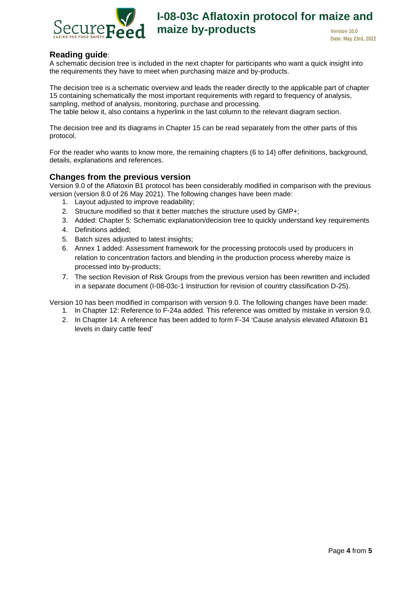

### **Reading guide**:

A schematic decision tree is included in the next chapter for participants who want a quick insight into the requirements they have to meet when purchasing maize and by-products.

The decision tree is a schematic overview and leads the reader directly to the applicable part of chapter [15](#page-11-0) containing schematically the most important requirements with regard to frequency of analysis, sampling, method of analysis, monitoring, purchase and processing. The table below it, also contains a hyperlink in the last column to the relevant diagram section.

The decision tree and its diagrams in Chapter 15 can be read separately from the other parts of this protocol.

For the reader who wants to know more, the remaining chapters (6 to 14) offer definitions, background, details, explanations and references.

#### **Changes from the previous version**

Version 9.0 of the Aflatoxin B1 protocol has been considerably modified in comparison with the previous version (version 8.0 of 26 May 2021). The following changes have been made:

- 1. Layout adjusted to improve readability;
- 2. Structure modified so that it better matches the structure used by GMP+;
- 3. Added: Chapter 5: Schematic explanation/decision tree to quickly understand key requirements
- 4. [Definitions](#page-4-1) added;
- 5. [Batch](#page-7-0) sizes adjusted to latest insights;
- 6. [Annex 1](#page-24-0) added: Assessment framework for the processing protocols used by producers in relation to concentration factors and blending in the production process whereby maize is processed into by-products;
- 7. The section Revision of Risk Groups from the previous version has been rewritten and included in a separate document (I-08-03c-1 Instruction for revision of country classification D-25).

Version 10 has been modified in comparison with version 9.0. The following changes have been made:

- 1. In Chapter 12: Reference to F-24a added. This reference was omitted by mistake in version 9.0.
- 2. In Chapter 14: A reference has been added to form F-34 'Cause analysis elevated Aflatoxin B1 levels in dairy cattle feed'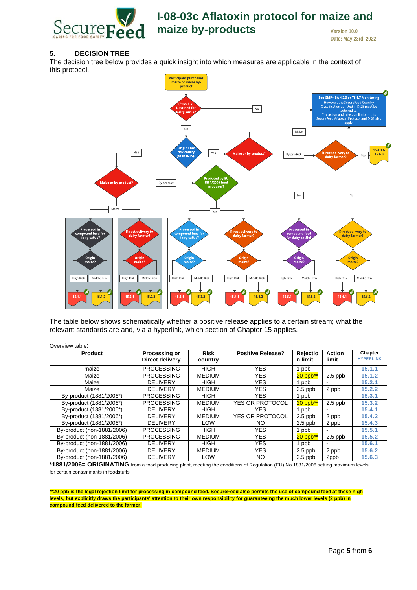

#### <span id="page-4-0"></span>**5. DECISION TREE**

The decision tree below provides a quick insight into which measures are applicable in the context of this protocol.



The table below shows schematically whether a positive release applies to a certain stream; what the relevant standards are and, via a hyperlink, which section of Chapter 15 applies.

| <b>Product</b>             | Processing or<br>Direct delivery | <b>Risk</b><br>country | <b>Positive Release?</b> | Rejectio<br>n limit | <b>Action</b><br>limit   | Chapter<br><b>HYPERLINK</b> |
|----------------------------|----------------------------------|------------------------|--------------------------|---------------------|--------------------------|-----------------------------|
| maize                      | <b>PROCESSING</b>                | <b>HIGH</b>            | <b>YES</b>               | 1 ppb               |                          | 15.1.1                      |
| Maize                      | <b>PROCESSING</b>                | <b>MEDIUM</b>          | <b>YES</b>               | $20$ ppb**          | $2.5$ ppb                | 15.1.2                      |
| Maize                      | <b>DELIVERY</b>                  | <b>HIGH</b>            | YES.                     | ppb                 |                          | 15.2.1                      |
| Maize                      | <b>DELIVERY</b>                  | <b>MEDIUM</b>          | <b>YES</b>               | $2.5$ ppb           | 2 ppb                    | 15.2.2                      |
| By-product (1881/2006*)    | <b>PROCESSING</b>                | <b>HIGH</b>            | YES.                     | 1 ppb               |                          | 15.3.1                      |
| By-product (1881/2006*)    | <b>PROCESSING</b>                | <b>MEDIUM</b>          | <b>YES OR PROTOCOL</b>   | $20$ ppb**          | $2.5$ ppb                | 15.3.2                      |
| By-product (1881/2006*)    | <b>DELIVERY</b>                  | <b>HIGH</b>            | <b>YES</b>               | 1 ppb               |                          | 15.4.1                      |
| By-product (1881/2006*)    | <b>DELIVERY</b>                  | <b>MEDIUM</b>          | <b>YES OR PROTOCOL</b>   | $2.5$ ppb           | 2 ppb                    | 15.4.2                      |
| By-product (1881/2006*)    | <b>DELIVERY</b>                  | <b>LOW</b>             | NO.                      | $2.5$ ppb           | 2 ppb                    | 15.4.3                      |
| By-product (non-1881/2006) | <b>PROCESSING</b>                | <b>HIGH</b>            | <b>YES</b>               | 1 ppb               | $\overline{\phantom{a}}$ | 15.5.1                      |
| By-product (non-1881/2006) | <b>PROCESSING</b>                | <b>MEDIUM</b>          | <b>YES</b>               | $20$ ppb**          | $2.5$ ppb                | 15.5.2                      |
| By-product (non-1881/2006) | <b>DELIVERY</b>                  | <b>HIGH</b>            | <b>YES</b>               | 1 ppb               |                          | 15.6.1                      |
| By-product (non-1881/2006) | <b>DELIVERY</b>                  | <b>MEDIUM</b>          | <b>YES</b>               | $2.5$ ppb           | 2 ppb                    | 15.6.2                      |
| By-product (non-1881/2006) | <b>DELIVERY</b>                  | LOW                    | NO.                      | $2.5$ ppb           | 2ppb                     | 15.6.3                      |

<span id="page-4-1"></span>**\*1881/2006= ORIGINATING** from a food producing plant, meeting the conditions of Regulation (EU) No 1881/2006 setting maximum levels for certain contaminants in foodstuffs

**\*\*20 ppb is the legal rejection limit for processing in compound feed. SecureFeed also permits the use of compound feed at these high levels, but explicitly draws the participants' attention to their own responsibility for guaranteeing the much lower levels (2 ppb) in compound feed delivered to the farmer!**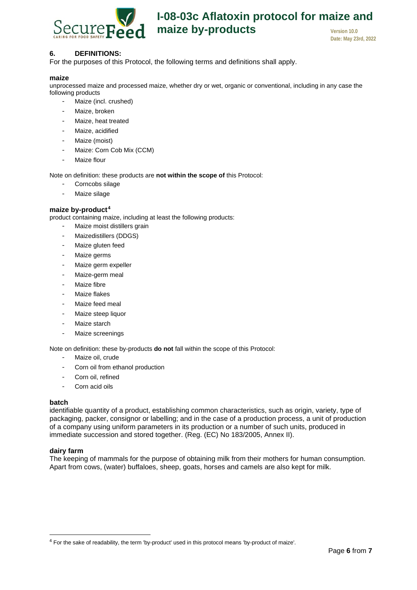

# **I-08-03c Aflatoxin protocol for maize and maize by-products version 10.0**

**Date: May 23rd, 2022**

#### <span id="page-5-0"></span>**6. DEFINITIONS:**

For the purposes of this Protocol, the following terms and definitions shall apply.

#### **maize**

unprocessed maize and processed maize, whether dry or wet, organic or conventional, including in any case the following products

- Maize (incl. crushed)
- Maize, broken
- Maize, heat treated
- Maize, acidified
- Maize (moist)
- Maize: Corn Cob Mix (CCM)
- Maize flour

Note on definition: these products are **not within the scope of** this Protocol:

- Corncobs silage
- Maize silage

#### **maize by-product[4](#page-5-1)**

product containing maize, including at least the following products:

- Maize moist distillers grain
- Maizedistillers (DDGS)
- Maize gluten feed
- Maize germs
- Maize germ expeller
- Maize-germ meal
- Maize fibre
- Maize flakes
- Maize feed meal
- Maize steep liquor
- Maize starch
- Maize screenings

Note on definition: these by-products **do not** fall within the scope of this Protocol:

- Maize oil, crude
- Corn oil from ethanol production
- Corn oil, refined
- Corn acid oils

#### **batch**

identifiable quantity of a product, establishing common characteristics, such as origin, variety, type of packaging, packer, consignor or labelling; and in the case of a production process, a unit of production of a company using uniform parameters in its production or a number of such units, produced in immediate succession and stored together. (Reg. (EC) No 183/2005, Annex II).

#### **dairy farm**

The keeping of mammals for the purpose of obtaining milk from their mothers for human consumption. Apart from cows, (water) buffaloes, sheep, goats, horses and camels are also kept for milk.

<span id="page-5-1"></span><sup>4</sup> For the sake of readability, the term 'by-product' used in this protocol means 'by-product of maize'.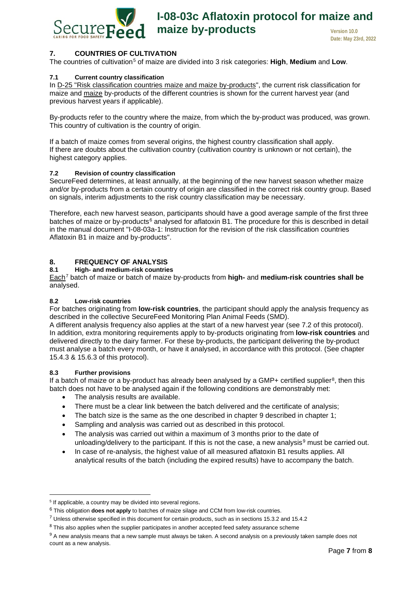

#### <span id="page-6-0"></span>**7. COUNTRIES OF CULTIVATION**

The countries of cultivation[5](#page-6-7) of maize are divided into 3 risk categories: **High**, **Medium** and **Low**.

#### <span id="page-6-1"></span>**7.1 Current country classification**

In [D-25 "Risk classification countries maize and maize by-products"](https://securefeed.eu/system/files/2021-05/D-25%20Risico-indeling%20landen%20Aflatoxine%20B1%20in%20ma%C3%AFs%20en%20ma%C3%AFs%28bij-%29producten_versie%207%20juni%202021.pdf), the current risk classification for maize and [maize](https://securefeed.eu/system/files/2021-05/D-25%20Risico-indeling%20landen%20Aflatoxine%20B1%20in%20ma%C3%AFs%20en%20ma%C3%AFs%28bij-%29producten_versie%207%20juni%202021.pdf) by-products of the different countries is shown for the current harvest year (and previous harvest years if applicable).

By-products refer to the country where the maize, from which the by-product was produced, was grown. This country of cultivation is the country of origin.

If a batch of maize comes from several origins, the highest country classification shall apply. If there are doubts about the cultivation country (cultivation country is unknown or not certain), the highest category applies.

#### <span id="page-6-2"></span>**7.2 Revision of country classification**

SecureFeed determines, at least annually, at the beginning of the new harvest season whether maize and/or by-products from a certain country of origin are classified in the correct risk country group. Based on signals, interim adjustments to the risk country classification may be necessary.

Therefore, each new harvest season, participants should have a good average sample of the first three batches of maize or by-products<sup>[6](#page-6-8)</sup> analysed for aflatoxin B1. The procedure for this is described in detail in the manual document "I-08-03a-1: Instruction for the revision of the risk classification countries Aflatoxin B1 in maize and by-products".

# <span id="page-6-3"></span>**8. FREQUENCY OF ANALYSIS**

#### <span id="page-6-4"></span>**8.1 High- and medium-risk countries**

Each[7](#page-6-9) batch of maize or batch of maize by-products from **high-** and **medium-risk countries shall be**  analysed.

#### <span id="page-6-5"></span>**8.2 Low-risk countries**

For batches originating from **low-risk countries**, the participant should apply the analysis frequency as described in the collective SecureFeed Monitoring Plan Animal Feeds (SMD).

A different analysis frequency also applies at the start of a new harvest year (see [7.2](#page-6-2) of this protocol). In addition, extra monitoring requirements apply to by-products originating from **low-risk countries** and delivered directly to the dairy farmer. For these by-products, the participant delivering the by-product must analyse a batch every month, or have it analysed, in accordance with this protocol. (See chapter [15.4.3](#page-19-0) & [15.6.3](#page-24-1) of this protocol).

#### <span id="page-6-6"></span>**8.3 Further provisions**

If a batch of maize or a by-product has already been analysed by a GMP+ certified supplier<sup>8</sup>, then this batch does not have to be analysed again if the following conditions are demonstrably met:

- The analysis results are available.
- There must be a clear link between the batch delivered and the certificate of analysis;
- The batch size is the same as the one described in chapter [9](#page-7-0) described in chapter 1;
- Sampling and analysis was carried out as described in this protocol.
- The analysis was carried out within a maximum of 3 months prior to the date of unloading/delivery to the participant. If this is not the case, a new analysis $9$  must be carried out.
- In case of re-analysis, the highest value of all measured aflatoxin B1 results applies. All analytical results of the batch (including the expired results) have to accompany the batch.

<span id="page-6-7"></span><sup>&</sup>lt;sup>5</sup> If applicable, a country may be divided into several regions.

<span id="page-6-8"></span><sup>6</sup> This obligation **does not apply** to batches of maize silage and CCM from low-risk countries.

<span id="page-6-9"></span><sup>7</sup> Unless otherwise specified in this document for certain products, such as in sections 15.3.2 and 15.4.2

<span id="page-6-10"></span><sup>&</sup>lt;sup>8</sup> This also applies when the supplier participates in another accepted feed safety assurance scheme

<span id="page-6-11"></span><sup>&</sup>lt;sup>9</sup> A new analysis means that a new sample must always be taken. A second analysis on a previously taken sample does not count as a new analysis.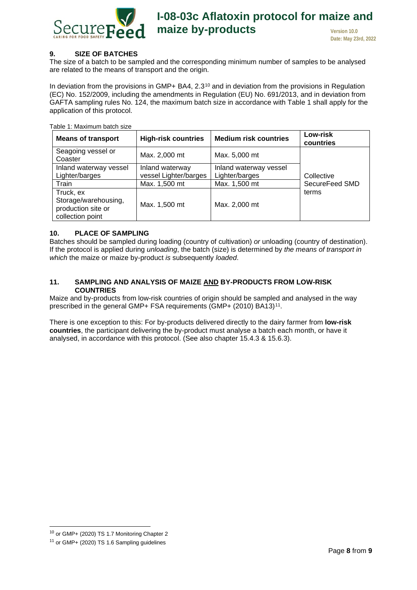

#### <span id="page-7-0"></span>**9. SIZE OF BATCHES**

The size of a batch to be sampled and the corresponding minimum number of samples to be analysed are related to the means of transport and the origin.

In deviation from the provisions in GMP+ BA4,  $2.3^{10}$  $2.3^{10}$  $2.3^{10}$  and in deviation from the provisions in Regulation (EC) No. 152/2009, including the amendments in Regulation (EU) No. 691/2013, and in deviation from GAFTA sampling rules No. 124, the maximum batch size in accordance with Table 1 shall apply for the application of this protocol.

| <b>Means of transport</b>                                                   | <b>High-risk countries</b>               | <b>Medium risk countries</b>             | Low-risk<br>countries |
|-----------------------------------------------------------------------------|------------------------------------------|------------------------------------------|-----------------------|
| Seagoing vessel or<br>Coaster                                               | Max. 2,000 mt                            | Max. 5,000 mt                            |                       |
| Inland waterway vessel<br>Lighter/barges                                    | Inland waterway<br>vessel Lighter/barges | Inland waterway vessel<br>Lighter/barges | Collective            |
| Train                                                                       | Max. 1,500 mt                            | Max. 1,500 mt                            | SecureFeed SMD        |
| Truck, ex<br>Storage/warehousing,<br>production site or<br>collection point | Max. 1,500 mt                            | Max. 2,000 mt                            | terms                 |

Table 1: Maximum batch size

#### <span id="page-7-1"></span>**10. PLACE OF SAMPLING**

Batches should be sampled during loading (country of cultivation) *or* unloading (country of destination). If the protocol is applied during *unloading*, the batch (size) is determined by *the means of transport in which* the maize or maize by-product *is* subsequently *loaded*.

#### <span id="page-7-2"></span>**11. SAMPLING AND ANALYSIS OF MAIZE AND BY-PRODUCTS FROM LOW-RISK COUNTRIES**

Maize and by-products from low-risk countries of origin should be sampled and analysed in the way prescribed in the general GMP+ FSA requirements (GMP+ (2010) BA13)<sup>[11](#page-7-4)</sup>.

There is one exception to this: For by-products delivered directly to the dairy farmer from **low-risk countries**, the participant delivering the by-product must analyse a batch each month, or have it analysed, in accordance with this protocol. (See also chapter [15.4.3](#page-19-0) & [15.6.3\)](#page-24-1).

<span id="page-7-3"></span><sup>10</sup> or GMP+ (2020) TS 1.7 Monitoring Chapter 2

<span id="page-7-4"></span><sup>11</sup> or GMP+ (2020) TS 1.6 Sampling guidelines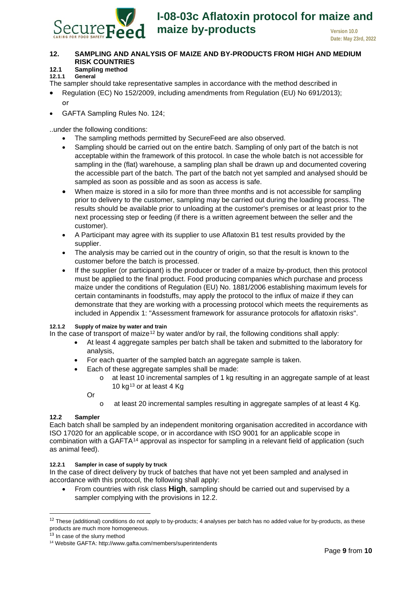

#### <span id="page-8-0"></span>**12. SAMPLING AND ANALYSIS OF MAIZE AND BY-PRODUCTS FROM HIGH AND MEDIUM RISK COUNTRIES**

## <span id="page-8-1"></span>**12.1 Sampling method**

<span id="page-8-6"></span>**12.1.1 General**

The sampler should take representative samples in accordance with the method described in

- Regulation (EC) No 152/2009, including amendments from Regulation (EU) No 691/2013); or
- GAFTA Sampling Rules No. 124;

..under the following conditions:

- The sampling methods permitted by SecureFeed are also observed.
- Sampling should be carried out on the entire batch. Sampling of only part of the batch is not acceptable within the framework of this protocol. In case the whole batch is not accessible for sampling in the (flat) warehouse, a sampling plan shall be drawn up and documented covering the accessible part of the batch. The part of the batch not yet sampled and analysed should be sampled as soon as possible and as soon as access is safe.
- When maize is stored in a silo for more than three months and is not accessible for sampling prior to delivery to the customer, sampling may be carried out during the loading process. The results should be available prior to unloading at the customer's premises or at least prior to the next processing step or feeding (if there is a written agreement between the seller and the customer).
- A Participant may agree with its supplier to use Aflatoxin B1 test results provided by the supplier.
- The analysis may be carried out in the country of origin, so that the result is known to the customer before the batch is processed.
- If the supplier (or participant) is the producer or trader of a maize by-product, then this protocol must be applied to the final product. Food producing companies which purchase and process maize under the conditions of Regulation (EU) No. 1881/2006 establishing maximum levels for certain contaminants in foodstuffs, may apply the protocol to the influx of maize if they can demonstrate that they are working with a processing protocol which meets the requirements as included in Appendix 1: "Assessment framework for assurance protocols for aflatoxin risks".

#### **12.1.2 Supply of maize by water and train**

In the case of transport of maize<sup>[12](#page-8-3)</sup> by water and/or by rail, the following conditions shall apply:

- At least 4 aggregate samples per batch shall be taken and submitted to the laboratory for analysis,
- For each quarter of the sampled batch an aggregate sample is taken.
- Each of these aggregate samples shall be made:
	- $\circ$  at least 10 incremental samples of 1 kg resulting in an aggregate sample of at least 10  $kg<sup>13</sup>$  $kg<sup>13</sup>$  $kg<sup>13</sup>$  or at least 4 Kg

Or

o at least 20 incremental samples resulting in aggregate samples of at least 4 Kg.

#### <span id="page-8-2"></span>**12.2 Sampler**

Each batch shall be sampled by an independent monitoring organisation accredited in accordance with ISO 17020 for an applicable scope, or in accordance with ISO 9001 for an applicable scope in combination with a GAFTA[14](#page-8-5) approval as inspector for sampling in a relevant field of application (such as animal feed).

#### **12.2.1 Sampler in case of supply by truck**

In the case of direct delivery by truck of batches that have not yet been sampled and analysed in accordance with this protocol, the following shall apply:

• From countries with risk class **High**, sampling should be carried out and supervised by a sampler complying with the provisions in [12.2.](#page-8-2)

<span id="page-8-3"></span> $12$  These (additional) conditions do not apply to by-products; 4 analyses per batch has no added value for by-products, as these products are much more homogeneous.<br><sup>13</sup> In case of the slurry method

<span id="page-8-4"></span>

<span id="page-8-5"></span><sup>&</sup>lt;sup>14</sup> Website GAFTA: http://www.gafta.com/members/superintendents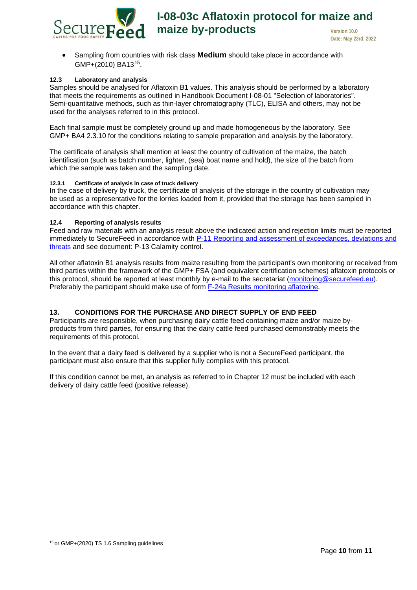• Sampling from countries with risk class **Medium** should take place in accordance with GMP+(2010) BA13<sup>15</sup>.

#### <span id="page-9-0"></span>**12.3 Laboratory and analysis**

Samples should be analysed for Aflatoxin B1 values. This analysis should be performed by a laboratory that meets the requirements as outlined in Handbook Document I-08-01 "Selection of laboratories". Semi-quantitative methods, such as thin-layer chromatography (TLC), ELISA and others, may not be used for the analyses referred to in this protocol.

Each final sample must be completely ground up and made homogeneous by the laboratory. See GMP+ BA4 2.3.10 for the conditions relating to sample preparation and analysis by the laboratory.

The certificate of analysis shall mention at least the country of cultivation of the maize, the batch identification (such as batch number, lighter, (sea) boat name and hold), the size of the batch from which the sample was taken and the sampling date.

#### **12.3.1 Certificate of analysis in case of truck delivery**

In the case of delivery by truck, the certificate of analysis of the storage in the country of cultivation may be used as a representative for the lorries loaded from it, provided that the storage has been sampled in accordance with this chapter.

#### **12.4 Reporting of analysis results**

Feed and raw materials with an analysis result above the indicated action and rejection limits must be reported immediately to SecureFeed in accordance with P-11 Reporting and assessment of exceedances, deviations and [threats](https://securefeed.eu/system/files/2021-07/P-11%20Melden%20en%20beoordelen%20van%20overschrijdingen%20afwijkingen%20en%20bedreigingen.pdf) and see document: [P-13 Calamity control.](https://securefeed.mijnscienta.nl/Articles/article/CO606eb3504430a5.52950815/)

All other aflatoxin B1 analysis results from maize resulting from the participant's own monitoring or received from third parties within the framework of the GMP+ FSA (and equivalent certification schemes) aflatoxin protocols or this protocol, should be reported at least monthly by e-mail to the secretariat [\(m](mailto:monitoring@securefeed.eu)onitoring@securefeed.eu). Preferably the participant should make use of form [F-24a Results monitoring aflatoxine.](https://securefeed.eu/system/files/2020-10/F-24a%20Resultaten%20monitoring%20aflatoxine.xlsx)

#### <span id="page-9-1"></span>**13. CONDITIONS FOR THE PURCHASE AND DIRECT SUPPLY OF END FEED**

Participants are responsible, when purchasing dairy cattle feed containing maize and/or maize byproducts from third parties, for ensuring that the dairy cattle feed purchased demonstrably meets the requirements of this protocol.

In the event that a dairy feed is delivered by a supplier who is not a SecureFeed participant, the participant must also ensure that this supplier fully complies with this protocol.

If this condition cannot be met, an analysis as referred to in Chapter [12](#page-8-0) must be included with each delivery of dairy cattle feed (positive release).

<span id="page-9-2"></span><sup>&</sup>lt;sup>15</sup> or GMP+(2020) TS 1.6 Sampling guidelines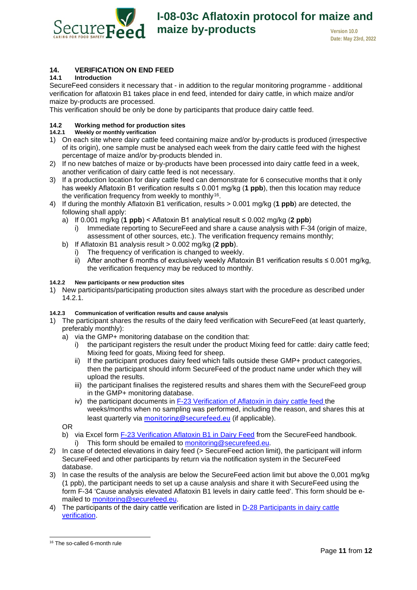

# **I-08-03c Aflatoxin protocol for maize and maize by-products version 10.0**

**Date: May 23rd, 2022**

# <span id="page-10-0"></span>**14. VERIFICATION ON END FEED**

#### <span id="page-10-1"></span>**14.1 Introduction**

SecureFeed considers it necessary that - in addition to the regular monitoring programme - additional verification for aflatoxin B1 takes place in end feed, intended for dairy cattle, in which maize and/or maize by-products are processed.

This verification should be only be done by participants that produce dairy cattle feed.

# <span id="page-10-2"></span>**14.2 Working method for production sites**

<span id="page-10-3"></span>**14.2.1 Weekly or monthly verification**

- 1) On each site where dairy cattle feed containing maize and/or by-products is produced (irrespective of its origin), one sample must be analysed each week from the dairy cattle feed with the highest percentage of maize and/or by-products blended in.
- 2) If no new batches of maize or by-products have been processed into dairy cattle feed in a week, another verification of dairy cattle feed is not necessary.
- 3) If a production location for dairy cattle feed can demonstrate for 6 consecutive months that it only has weekly Aflatoxin B1 verification results ≤ 0.001 mg/kg (**1 ppb**), then this location may reduce the verification frequency from weekly to monthly<sup>16</sup>.
- 4) If during the monthly Aflatoxin B1 verification, results > 0.001 mg/kg (**1 ppb**) are detected, the following shall apply:
	- a) If 0.001 mg/kg (**1 ppb**) < Aflatoxin B1 analytical result ≤ 0.002 mg/kg (**2 ppb**)
		- i) Immediate reporting to SecureFeed and share a cause analysis with F-34 (origin of maize, assessment of other sources, etc.). The verification frequency remains monthly;
	- b) If Aflatoxin B1 analysis result > 0.002 mg/kg (**2 ppb**).
		- i) The frequency of verification is changed to weekly.
			- ii) After another 6 months of exclusively weekly Aflatoxin B1 verification results ≤ 0.001 mg/kg, the verification frequency may be reduced to monthly.

#### **14.2.2 New participants or new production sites**

1) New participants/participating production sites always start with the procedure as described under [14.2.1.](#page-10-3)

#### **14.2.3 Communication of verification results and cause analysis**

- 1) The participant shares the results of the dairy feed verification with SecureFeed (at least quarterly, preferably monthly):
	- a) via the GMP+ monitoring database on the condition that:
		- i) the participant registers the result under the product Mixing feed for cattle: dairy cattle feed; Mixing feed for goats, Mixing feed for sheep.
		- ii) If the participant produces dairy feed which falls outside these GMP+ product categories, then the participant should inform SecureFeed of the product name under which they will upload the results.
		- iii) the participant finalises the registered results and shares them with the SecureFeed group in the GMP+ monitoring database.
		- iv) the participant documents in [F-23 Verification of Aflatoxin in dairy cattle feed](https://securefeed.eu/system/files/2018-04/F-23%20Verificatie%20Aflatoxine%20melkveevoeders.xlsx) the weeks/months when no sampling was performed, including the reason, and shares this at least quarterly via [monitoring@securefeed.eu](mailto:monitoring@securefeed.eu) (if applicable).

OR

- b) via Excel form [F-23 Verification Aflatoxin B1 in Dairy Feed](https://securefeed.eu/system/files/2018-04/F-23%20Verificatie%20Aflatoxine%20melkveevoeders.xlsx) from the SecureFeed handbook. i) This form should be emailed to monitoring@securefeed.eu.
- 2) In case of detected elevations in dairy feed (> SecureFeed action limit), the participant will inform SecureFeed and other participants by return via the notification system in the SecureFeed database.
- 3) In case the results of the analysis are below the SecureFeed action limit but above the 0,001 mg/kg (1 ppb), the participant needs to set up a cause analysis and share it with SecureFeed using the form F-34 'Cause analysis elevated Aflatoxin B1 levels in dairy cattle feed'. This form should be emailed to monitoring@securefeed.eu.
- 4) The participants of the dairy cattle verification are listed in [D-28 Participants in dairy cattle](https://securefeed.eu/system/files/2020-10/D-28%20Deelnemers%20verificatie%20melkveemonitoring.pdf)  [verification.](https://securefeed.eu/system/files/2020-10/D-28%20Deelnemers%20verificatie%20melkveemonitoring.pdf)

<span id="page-10-4"></span><sup>16</sup> The so-called 6-month rule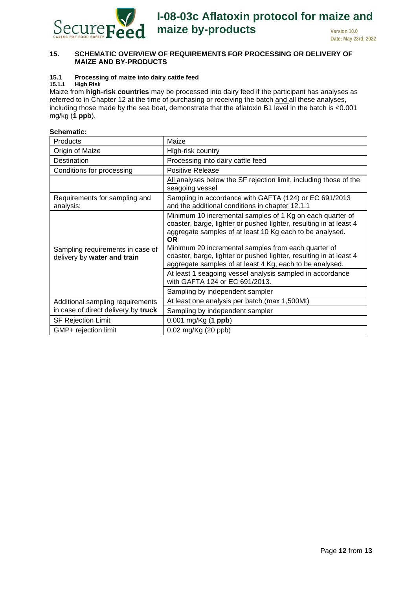

#### <span id="page-11-0"></span>**15. SCHEMATIC OVERVIEW OF REQUIREMENTS FOR PROCESSING OR DELIVERY OF MAIZE AND BY-PRODUCTS**

# <span id="page-11-1"></span>**15.1 Processing of maize into dairy cattle feed**

#### <span id="page-11-2"></span>**15.1.1 High Risk**

Maize from **high-risk countries** may be processed into dairy feed if the participant has analyses as referred to in Chapter [12](#page-8-0) at the time of purchasing or receiving the batch and all these analyses, including those made by the sea boat, demonstrate that the aflatoxin B1 level in the batch is <0.001 mg/kg (**1 ppb**).

#### **Schematic:**

| Products                                                        | Maize                                                                                                                                                                                                                                                                                                                                                                                             |
|-----------------------------------------------------------------|---------------------------------------------------------------------------------------------------------------------------------------------------------------------------------------------------------------------------------------------------------------------------------------------------------------------------------------------------------------------------------------------------|
| Origin of Maize                                                 | High-risk country                                                                                                                                                                                                                                                                                                                                                                                 |
| Destination                                                     | Processing into dairy cattle feed                                                                                                                                                                                                                                                                                                                                                                 |
| Conditions for processing                                       | Positive Release                                                                                                                                                                                                                                                                                                                                                                                  |
|                                                                 | All analyses below the SF rejection limit, including those of the<br>seagoing vessel                                                                                                                                                                                                                                                                                                              |
| Requirements for sampling and<br>analysis:                      | Sampling in accordance with GAFTA (124) or EC 691/2013<br>and the additional conditions in chapter 12.1.1                                                                                                                                                                                                                                                                                         |
| Sampling requirements in case of<br>delivery by water and train | Minimum 10 incremental samples of 1 Kg on each quarter of<br>coaster, barge, lighter or pushed lighter, resulting in at least 4<br>aggregate samples of at least 10 Kg each to be analysed.<br><b>OR</b><br>Minimum 20 incremental samples from each quarter of<br>coaster, barge, lighter or pushed lighter, resulting in at least 4<br>aggregate samples of at least 4 Kg, each to be analysed. |
|                                                                 | At least 1 seagoing vessel analysis sampled in accordance<br>with GAFTA 124 or EC 691/2013.                                                                                                                                                                                                                                                                                                       |
|                                                                 | Sampling by independent sampler                                                                                                                                                                                                                                                                                                                                                                   |
| Additional sampling requirements                                | At least one analysis per batch (max 1,500Mt)                                                                                                                                                                                                                                                                                                                                                     |
| in case of direct delivery by truck                             | Sampling by independent sampler                                                                                                                                                                                                                                                                                                                                                                   |
| <b>SF Rejection Limit</b>                                       | 0.001 mg/Kg (1 ppb)                                                                                                                                                                                                                                                                                                                                                                               |
| GMP+ rejection limit                                            | 0.02 mg/Kg (20 ppb)                                                                                                                                                                                                                                                                                                                                                                               |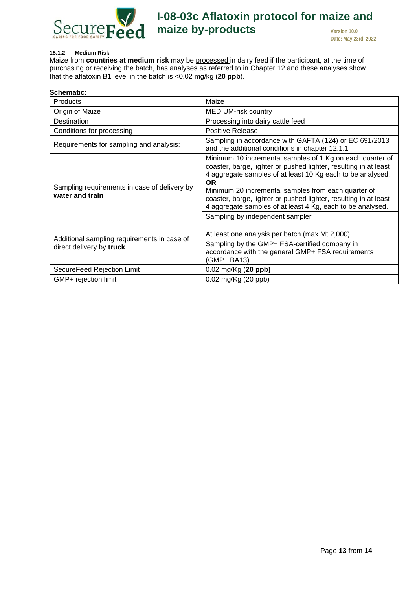

#### **15.1.2 Medium Risk**

Maize from **countries at medium risk** may be processed in dairy feed if the participant, at the time of purchasing or receiving the batch, has analyses as referred to in Chapter [12](#page-8-0) and these analyses show that the aflatoxin B1 level in the batch is <0.02 mg/kg (**20 ppb**).

| Schematic:                                                              |                                                                                                                                                                                                                                                                                                                                                                                                                                      |
|-------------------------------------------------------------------------|--------------------------------------------------------------------------------------------------------------------------------------------------------------------------------------------------------------------------------------------------------------------------------------------------------------------------------------------------------------------------------------------------------------------------------------|
| Products                                                                | Maize                                                                                                                                                                                                                                                                                                                                                                                                                                |
| Origin of Maize                                                         | <b>MEDIUM-risk country</b>                                                                                                                                                                                                                                                                                                                                                                                                           |
| Destination                                                             | Processing into dairy cattle feed                                                                                                                                                                                                                                                                                                                                                                                                    |
| Conditions for processing                                               | <b>Positive Release</b>                                                                                                                                                                                                                                                                                                                                                                                                              |
| Requirements for sampling and analysis:                                 | Sampling in accordance with GAFTA (124) or EC 691/2013<br>and the additional conditions in chapter 12.1.1                                                                                                                                                                                                                                                                                                                            |
| Sampling requirements in case of delivery by<br>water and train         | Minimum 10 incremental samples of 1 Kg on each quarter of<br>coaster, barge, lighter or pushed lighter, resulting in at least<br>4 aggregate samples of at least 10 Kg each to be analysed.<br><b>OR</b><br>Minimum 20 incremental samples from each quarter of<br>coaster, barge, lighter or pushed lighter, resulting in at least<br>4 aggregate samples of at least 4 Kg, each to be analysed.<br>Sampling by independent sampler |
| Additional sampling requirements in case of<br>direct delivery by truck | At least one analysis per batch (max Mt 2,000)<br>Sampling by the GMP+ FSA-certified company in<br>accordance with the general GMP+ FSA requirements<br>(GMP+ BA13)                                                                                                                                                                                                                                                                  |
| SecureFeed Rejection Limit                                              | $0.02 \text{ mg/Kg}$ (20 ppb)                                                                                                                                                                                                                                                                                                                                                                                                        |
| GMP+ rejection limit                                                    | $0.02$ mg/Kg (20 ppb)                                                                                                                                                                                                                                                                                                                                                                                                                |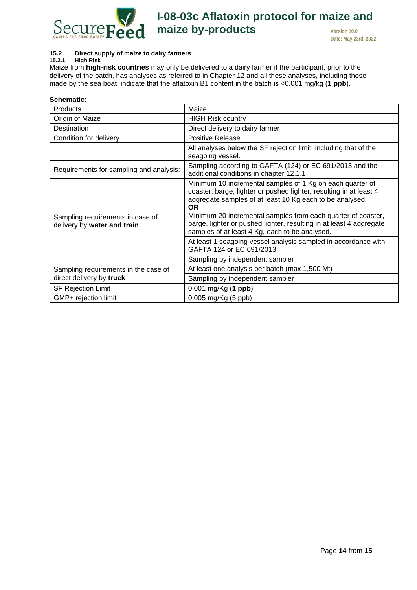

# **I-08-03c Aflatoxin protocol for maize and maize by-products version 10.0**

**Date: May 23rd, 2022**

#### <span id="page-13-0"></span>**15.2 Direct supply of maize to dairy farmers**

<span id="page-13-1"></span>**15.2.1 High Risk** Maize from **high-risk countries** may only be delivered to a dairy farmer if the participant, prior to the delivery of the batch, has analyses as referred to in Chapter [12](#page-8-0) and all these analyses, including those made by the sea boat, indicate that the aflatoxin B1 content in the batch is <0.001 mg/kg (**1 ppb**).

| Schematic:                                                      |                                                                                                                                                                                                                                                                                                                                                                                                   |
|-----------------------------------------------------------------|---------------------------------------------------------------------------------------------------------------------------------------------------------------------------------------------------------------------------------------------------------------------------------------------------------------------------------------------------------------------------------------------------|
| Products                                                        | Maize                                                                                                                                                                                                                                                                                                                                                                                             |
| Origin of Maize                                                 | <b>HIGH Risk country</b>                                                                                                                                                                                                                                                                                                                                                                          |
| Destination                                                     | Direct delivery to dairy farmer                                                                                                                                                                                                                                                                                                                                                                   |
| Condition for delivery                                          | <b>Positive Release</b>                                                                                                                                                                                                                                                                                                                                                                           |
|                                                                 | All analyses below the SF rejection limit, including that of the<br>seagoing vessel.                                                                                                                                                                                                                                                                                                              |
| Requirements for sampling and analysis:                         | Sampling according to GAFTA (124) or EC 691/2013 and the<br>additional conditions in chapter 12.1.1                                                                                                                                                                                                                                                                                               |
| Sampling requirements in case of<br>delivery by water and train | Minimum 10 incremental samples of 1 Kg on each quarter of<br>coaster, barge, lighter or pushed lighter, resulting in at least 4<br>aggregate samples of at least 10 Kg each to be analysed.<br><b>OR</b><br>Minimum 20 incremental samples from each quarter of coaster,<br>barge, lighter or pushed lighter, resulting in at least 4 aggregate<br>samples of at least 4 Kg, each to be analysed. |
|                                                                 | At least 1 seagoing vessel analysis sampled in accordance with<br>GAFTA 124 or EC 691/2013.                                                                                                                                                                                                                                                                                                       |
|                                                                 | Sampling by independent sampler                                                                                                                                                                                                                                                                                                                                                                   |
| Sampling requirements in the case of                            | At least one analysis per batch (max 1,500 Mt)                                                                                                                                                                                                                                                                                                                                                    |
| direct delivery by truck                                        | Sampling by independent sampler                                                                                                                                                                                                                                                                                                                                                                   |
| <b>SF Rejection Limit</b>                                       | 0.001 mg/Kg (1 ppb)                                                                                                                                                                                                                                                                                                                                                                               |
| GMP+ rejection limit                                            | 0.005 mg/Kg (5 ppb)                                                                                                                                                                                                                                                                                                                                                                               |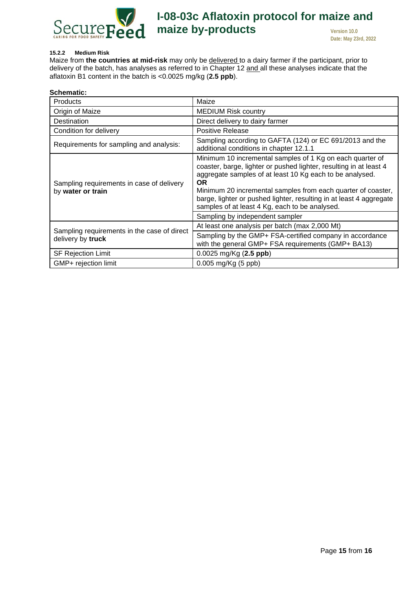

#### **15.2.2 Medium Risk**

Maize from **the countries at mid-risk** may only be delivered to a dairy farmer if the participant, prior to delivery of the batch, has analyses as referred to in Chapter [12](#page-8-0) and all these analyses indicate that the aflatoxin B1 content in the batch is <0.0025 mg/kg (**2.5 ppb**).

| Schematic:                                                     |                                                                                                                                                                                                                                                                                                                                                                                                   |  |  |
|----------------------------------------------------------------|---------------------------------------------------------------------------------------------------------------------------------------------------------------------------------------------------------------------------------------------------------------------------------------------------------------------------------------------------------------------------------------------------|--|--|
| <b>Products</b>                                                | Maize                                                                                                                                                                                                                                                                                                                                                                                             |  |  |
| Origin of Maize                                                | <b>MEDIUM Risk country</b>                                                                                                                                                                                                                                                                                                                                                                        |  |  |
| Destination                                                    | Direct delivery to dairy farmer                                                                                                                                                                                                                                                                                                                                                                   |  |  |
| Condition for delivery                                         | Positive Release                                                                                                                                                                                                                                                                                                                                                                                  |  |  |
| Requirements for sampling and analysis:                        | Sampling according to GAFTA (124) or EC 691/2013 and the<br>additional conditions in chapter 12.1.1                                                                                                                                                                                                                                                                                               |  |  |
| Sampling requirements in case of delivery<br>by water or train | Minimum 10 incremental samples of 1 Kg on each quarter of<br>coaster, barge, lighter or pushed lighter, resulting in at least 4<br>aggregate samples of at least 10 Kg each to be analysed.<br><b>OR</b><br>Minimum 20 incremental samples from each quarter of coaster,<br>barge, lighter or pushed lighter, resulting in at least 4 aggregate<br>samples of at least 4 Kg, each to be analysed. |  |  |
|                                                                | Sampling by independent sampler                                                                                                                                                                                                                                                                                                                                                                   |  |  |
| Sampling requirements in the case of direct                    | At least one analysis per batch (max 2,000 Mt)                                                                                                                                                                                                                                                                                                                                                    |  |  |
| delivery by truck                                              | Sampling by the GMP+ FSA-certified company in accordance<br>with the general GMP+ FSA requirements (GMP+ BA13)                                                                                                                                                                                                                                                                                    |  |  |
| <b>SF Rejection Limit</b>                                      | $0.0025$ mg/Kg $(2.5$ ppb)                                                                                                                                                                                                                                                                                                                                                                        |  |  |
| GMP+ rejection limit                                           | 0.005 mg/Kg (5 ppb)                                                                                                                                                                                                                                                                                                                                                                               |  |  |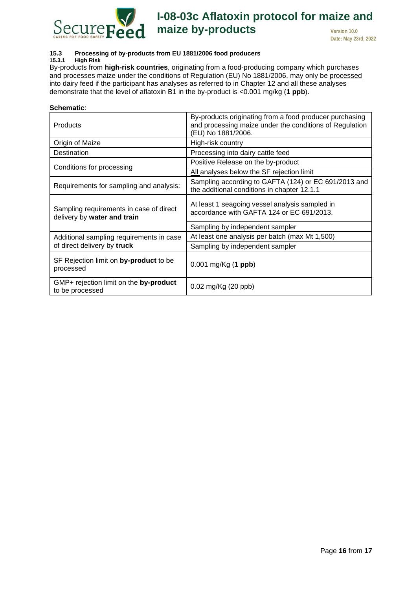

# <span id="page-15-0"></span>**15.3 Processing of by-products from EU 1881/2006 food producers**

**15.3.1 High Risk** 

By-products from **high-risk countries**, originating from a food-producing company which purchases and processes maize under the conditions of Regulation (EU) No 1881/2006, may only be processed into dairy feed if the participant has analyses as referred to in Chapter [12](#page-8-0) and all these analyses demonstrate that the level of aflatoxin B1 in the by-product is <0.001 mg/kg (**1 ppb**).

| Schematic:                                                             |                                                                                                                                          |  |
|------------------------------------------------------------------------|------------------------------------------------------------------------------------------------------------------------------------------|--|
| <b>Products</b>                                                        | By-products originating from a food producer purchasing<br>and processing maize under the conditions of Regulation<br>(EU) No 1881/2006. |  |
| Origin of Maize                                                        | High-risk country                                                                                                                        |  |
| Destination                                                            | Processing into dairy cattle feed                                                                                                        |  |
|                                                                        | Positive Release on the by-product                                                                                                       |  |
| Conditions for processing                                              | All analyses below the SF rejection limit                                                                                                |  |
| Requirements for sampling and analysis:                                | Sampling according to GAFTA (124) or EC 691/2013 and<br>the additional conditions in chapter 12.1.1                                      |  |
| Sampling requirements in case of direct<br>delivery by water and train | At least 1 seagoing vessel analysis sampled in<br>accordance with GAFTA 124 or EC 691/2013.                                              |  |
|                                                                        | Sampling by independent sampler                                                                                                          |  |
| Additional sampling requirements in case                               | At least one analysis per batch (max Mt 1,500)                                                                                           |  |
| of direct delivery by truck                                            | Sampling by independent sampler                                                                                                          |  |
| SF Rejection limit on by-product to be<br>processed                    | $0.001$ mg/Kg (1 ppb)                                                                                                                    |  |
| GMP+ rejection limit on the by-product<br>to be processed              | 0.02 mg/Kg (20 ppb)                                                                                                                      |  |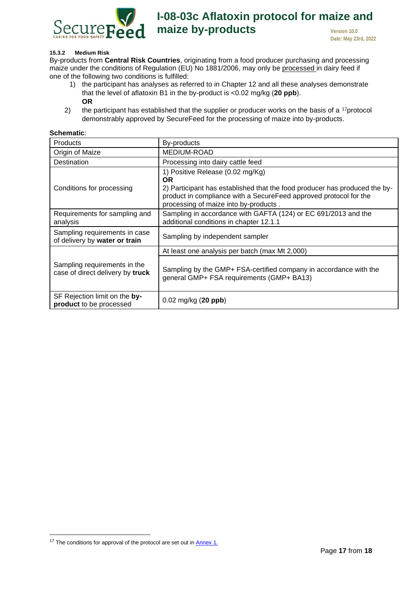

#### **15.3.2 Medium Risk**

By-products from **Central Risk Countries**, originating from a food producer purchasing and processing maize under the conditions of Regulation (EU) No 1881/2006, may only be processed in dairy feed if one of the following two conditions is fulfilled:

- 1) the participant has analyses as referred to in Chapter [12](#page-8-0) and all these analyses demonstrate that the level of aflatoxin B1 in the by-product is <0.02 mg/kg (**20 ppb**). **OR**
- 2) the participant has established that the supplier or producer works on the basis of a  $17$ protocol demonstrably approved by SecureFeed for the processing of maize into by-products.

| Schematic:                                                       |                                                                                                                                                                                                                                           |  |  |
|------------------------------------------------------------------|-------------------------------------------------------------------------------------------------------------------------------------------------------------------------------------------------------------------------------------------|--|--|
| Products                                                         | By-products                                                                                                                                                                                                                               |  |  |
| Origin of Maize                                                  | MEDIUM-ROAD                                                                                                                                                                                                                               |  |  |
| Destination                                                      | Processing into dairy cattle feed                                                                                                                                                                                                         |  |  |
| Conditions for processing                                        | 1) Positive Release (0.02 mg/Kg)<br><b>OR</b><br>2) Participant has established that the food producer has produced the by-<br>product in compliance with a SecureFeed approved protocol for the<br>processing of maize into by-products. |  |  |
| Requirements for sampling and<br>analysis                        | Sampling in accordance with GAFTA (124) or EC 691/2013 and the<br>additional conditions in chapter 12.1.1                                                                                                                                 |  |  |
| Sampling requirements in case<br>of delivery by water or train   | Sampling by independent sampler                                                                                                                                                                                                           |  |  |
|                                                                  | At least one analysis per batch (max Mt 2,000)                                                                                                                                                                                            |  |  |
| Sampling requirements in the<br>case of direct delivery by truck | Sampling by the GMP+ FSA-certified company in accordance with the<br>general GMP+ FSA requirements (GMP+ BA13)                                                                                                                            |  |  |
| SF Rejection limit on the by-<br>product to be processed         | $0.02 \text{ mg/kg}$ (20 ppb)                                                                                                                                                                                                             |  |  |

<span id="page-16-0"></span> $17$  The conditions for approval of the protocol are set out in  $\frac{\text{Annex }1}{\text{Annex }1}$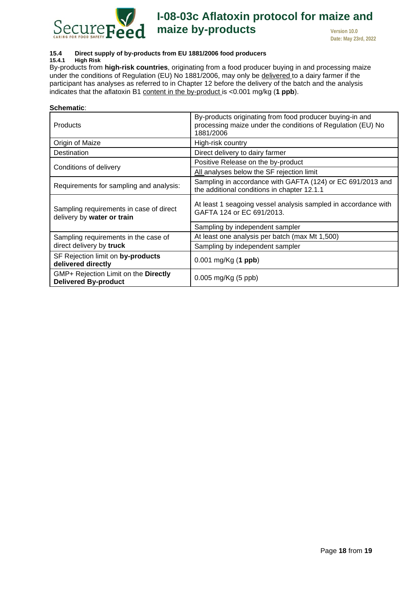

#### <span id="page-17-0"></span>**15.4 Direct supply of by-products from EU 1881/2006 food producers 15.4.1 High Risk**

By-products from **high-risk countries**, originating from a food producer buying in and processing maize under the conditions of Regulation (EU) No 1881/2006, may only be delivered to a dairy farmer if the participant has analyses as referred to in Chapter [12](#page-8-0) before the delivery of the batch and the analysis indicates that the aflatoxin B1 content in the by-product is <0.001 mg/kg (**1 ppb**).

| Schematic:                                                            |                                                                                                                                      |  |  |
|-----------------------------------------------------------------------|--------------------------------------------------------------------------------------------------------------------------------------|--|--|
| <b>Products</b>                                                       | By-products originating from food producer buying-in and<br>processing maize under the conditions of Regulation (EU) No<br>1881/2006 |  |  |
| Origin of Maize                                                       | High-risk country                                                                                                                    |  |  |
| Destination                                                           | Direct delivery to dairy farmer                                                                                                      |  |  |
|                                                                       | Positive Release on the by-product                                                                                                   |  |  |
| Conditions of delivery                                                | All analyses below the SF rejection limit                                                                                            |  |  |
| Requirements for sampling and analysis:                               | Sampling in accordance with GAFTA (124) or EC 691/2013 and<br>the additional conditions in chapter 12.1.1                            |  |  |
| Sampling requirements in case of direct<br>delivery by water or train | At least 1 seagoing vessel analysis sampled in accordance with<br>GAFTA 124 or EC 691/2013.                                          |  |  |
|                                                                       | Sampling by independent sampler                                                                                                      |  |  |
| Sampling requirements in the case of                                  | At least one analysis per batch (max Mt 1,500)                                                                                       |  |  |
| direct delivery by truck                                              | Sampling by independent sampler                                                                                                      |  |  |
| SF Rejection limit on by-products<br>delivered directly               | $0.001$ mg/Kg (1 ppb)                                                                                                                |  |  |
| GMP+ Rejection Limit on the Directly<br><b>Delivered By-product</b>   | $0.005$ mg/Kg $(5$ ppb)                                                                                                              |  |  |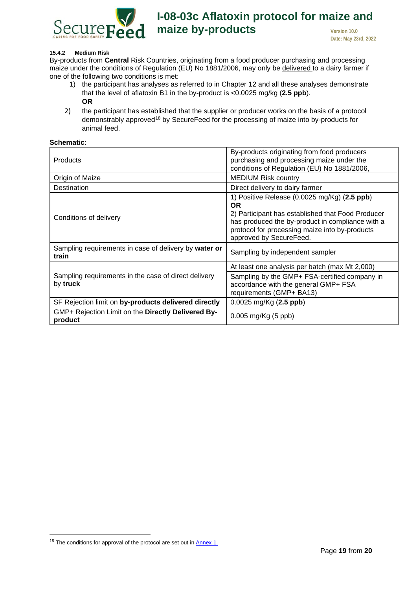

#### **15.4.2 Medium Risk**

By-products from **Central** Risk Countries, originating from a food producer purchasing and processing maize under the conditions of Regulation (EU) No 1881/2006, may only be delivered to a dairy farmer if one of the following two conditions is met:

- 1) the participant has analyses as referred to in Chapter [12](#page-8-0) and all these analyses demonstrate that the level of aflatoxin B1 in the by-product is <0.0025 mg/kg (**2.5 ppb**). **OR**
- 2) the participant has established that the supplier or producer works on the basis of a protocol demonstrably approved[18](#page-18-0) by SecureFeed for the processing of maize into by-products for animal feed.

#### **Schematic**:

| <b>Products</b>                                                  | By-products originating from food producers<br>purchasing and processing maize under the<br>conditions of Regulation (EU) No 1881/2006,                                                                                                                             |
|------------------------------------------------------------------|---------------------------------------------------------------------------------------------------------------------------------------------------------------------------------------------------------------------------------------------------------------------|
| Origin of Maize                                                  | <b>MEDIUM Risk country</b>                                                                                                                                                                                                                                          |
| Destination                                                      | Direct delivery to dairy farmer                                                                                                                                                                                                                                     |
| Conditions of delivery                                           | 1) Positive Release $(0.0025 \text{ mg/Kg})$ $(2.5 \text{ ppb})$<br><b>OR</b><br>2) Participant has established that Food Producer<br>has produced the by-product in compliance with a<br>protocol for processing maize into by-products<br>approved by SecureFeed. |
| Sampling requirements in case of delivery by water or<br>train   | Sampling by independent sampler                                                                                                                                                                                                                                     |
|                                                                  | At least one analysis per batch (max Mt 2,000)                                                                                                                                                                                                                      |
| Sampling requirements in the case of direct delivery<br>by truck | Sampling by the GMP+ FSA-certified company in<br>accordance with the general GMP+ FSA<br>requirements (GMP+ BA13)                                                                                                                                                   |
| SF Rejection limit on by-products delivered directly             | $0.0025$ mg/Kg $(2.5$ ppb)                                                                                                                                                                                                                                          |
| GMP+ Rejection Limit on the Directly Delivered By-<br>product    | 0.005 mg/Kg (5 ppb)                                                                                                                                                                                                                                                 |

<span id="page-18-0"></span> $18$  The conditions for approval of the protocol are set out in  $\frac{\text{Annex }1.}{\text{Annex}}$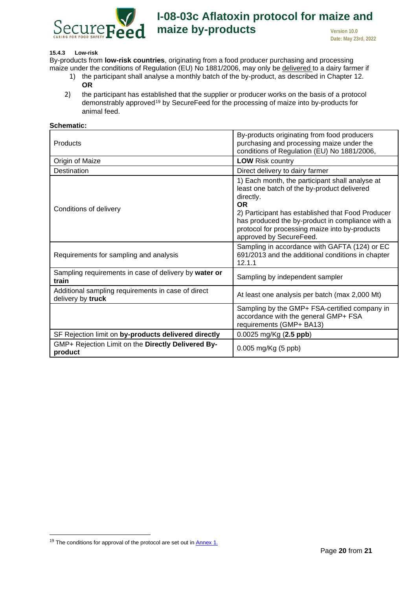

#### <span id="page-19-0"></span>**15.4.3 Low-risk**

By-products from **low-risk countries**, originating from a food producer purchasing and processing maize under the conditions of Regulation (EU) No 1881/2006, may only be delivered to a dairy farmer if

- 1) the participant shall analyse a monthly batch of the by-product, as described in Chapter [12.](#page-8-0) **OR**
- 2) the participant has established that the supplier or producer works on the basis of a protocol demonstrably approved<sup>[19](#page-19-1)</sup> by SecureFeed for the processing of maize into by-products for animal feed.

| <b>Schematic:</b>                                                       |                                                                                                                                                                                                                                                                                                                |
|-------------------------------------------------------------------------|----------------------------------------------------------------------------------------------------------------------------------------------------------------------------------------------------------------------------------------------------------------------------------------------------------------|
| Products                                                                | By-products originating from food producers<br>purchasing and processing maize under the<br>conditions of Regulation (EU) No 1881/2006,                                                                                                                                                                        |
| Origin of Maize                                                         | <b>LOW Risk country</b>                                                                                                                                                                                                                                                                                        |
| Destination                                                             | Direct delivery to dairy farmer                                                                                                                                                                                                                                                                                |
| Conditions of delivery                                                  | 1) Each month, the participant shall analyse at<br>least one batch of the by-product delivered<br>directly.<br><b>OR</b><br>2) Participant has established that Food Producer<br>has produced the by-product in compliance with a<br>protocol for processing maize into by-products<br>approved by SecureFeed. |
| Requirements for sampling and analysis                                  | Sampling in accordance with GAFTA (124) or EC<br>691/2013 and the additional conditions in chapter<br>12.1.1                                                                                                                                                                                                   |
| Sampling requirements in case of delivery by water or<br>train          | Sampling by independent sampler                                                                                                                                                                                                                                                                                |
| Additional sampling requirements in case of direct<br>delivery by truck | At least one analysis per batch (max 2,000 Mt)                                                                                                                                                                                                                                                                 |
|                                                                         | Sampling by the GMP+ FSA-certified company in<br>accordance with the general GMP+ FSA<br>requirements (GMP+ BA13)                                                                                                                                                                                              |
| SF Rejection limit on by-products delivered directly                    | 0.0025 mg/Kg (2.5 ppb)                                                                                                                                                                                                                                                                                         |
| GMP+ Rejection Limit on the Directly Delivered By-<br>product           | 0.005 mg/Kg (5 ppb)                                                                                                                                                                                                                                                                                            |

<span id="page-19-1"></span> $19$  The conditions for approval of the protocol are set out in  $\frac{\text{Annex }1}{\text{Annex }2}$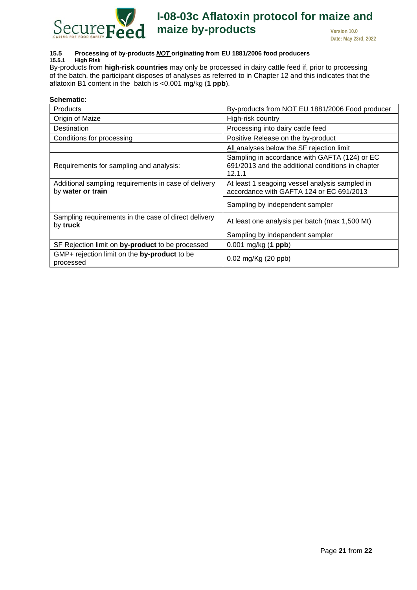

## <span id="page-20-0"></span>**15.5 Processing of by-products** *NOT* **originating from EU 1881/2006 food producers**

#### **15.5.1 High Risk**

By-products from **high-risk countries** may only be processed in dairy cattle feed if, prior to processing of the batch, the participant disposes of analyses as referred to in Chapter [12](#page-8-0) and this indicates that the aflatoxin B1 content in the batch is <0.001 mg/kg (**1 ppb**).

| Schematic∶                                                                |                                                                                                              |
|---------------------------------------------------------------------------|--------------------------------------------------------------------------------------------------------------|
| Products                                                                  | By-products from NOT EU 1881/2006 Food producer                                                              |
| Origin of Maize                                                           | High-risk country                                                                                            |
| Destination                                                               | Processing into dairy cattle feed                                                                            |
| Conditions for processing                                                 | Positive Release on the by-product                                                                           |
|                                                                           | All analyses below the SF rejection limit                                                                    |
| Requirements for sampling and analysis:                                   | Sampling in accordance with GAFTA (124) or EC<br>691/2013 and the additional conditions in chapter<br>12.1.1 |
| Additional sampling requirements in case of delivery<br>by water or train | At least 1 seagoing vessel analysis sampled in<br>accordance with GAFTA 124 or EC 691/2013                   |
|                                                                           | Sampling by independent sampler                                                                              |
| Sampling requirements in the case of direct delivery<br>by truck          | At least one analysis per batch (max 1,500 Mt)                                                               |
|                                                                           | Sampling by independent sampler                                                                              |
| SF Rejection limit on by-product to be processed                          | $0.001$ mg/kg (1 ppb)                                                                                        |
| GMP+ rejection limit on the by-product to be<br>processed                 | 0.02 mg/Kg (20 ppb)                                                                                          |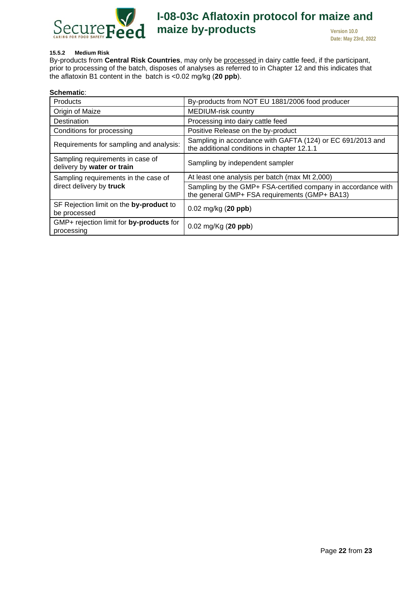

#### **15.5.2 Medium Risk**

By-products from **Central Risk Countries**, may only be processed in dairy cattle feed, if the participant, prior to processing of the batch, disposes of analyses as referred to in Chapter [12](#page-8-0) and this indicates that the aflatoxin B1 content in the batch is <0.02 mg/kg (**20 ppb**).

| <b>Schematic:</b>                                                |                                                                                                                |
|------------------------------------------------------------------|----------------------------------------------------------------------------------------------------------------|
| <b>Products</b>                                                  | By-products from NOT EU 1881/2006 food producer                                                                |
| Origin of Maize                                                  | <b>MEDIUM-risk country</b>                                                                                     |
| Destination                                                      | Processing into dairy cattle feed                                                                              |
| Conditions for processing                                        | Positive Release on the by-product                                                                             |
| Requirements for sampling and analysis:                          | Sampling in accordance with GAFTA (124) or EC 691/2013 and<br>the additional conditions in chapter 12.1.1      |
| Sampling requirements in case of<br>delivery by water or train   | Sampling by independent sampler                                                                                |
| Sampling requirements in the case of<br>direct delivery by truck | At least one analysis per batch (max Mt 2,000)                                                                 |
|                                                                  | Sampling by the GMP+ FSA-certified company in accordance with<br>the general GMP+ FSA requirements (GMP+ BA13) |
| SF Rejection limit on the by-product to<br>be processed          | $0.02 \text{ mg/kg}$ (20 ppb)                                                                                  |
| GMP+ rejection limit for by-products for<br>processing           | $0.02 \text{ mg/Kg} (20 \text{ ppb})$                                                                          |
|                                                                  |                                                                                                                |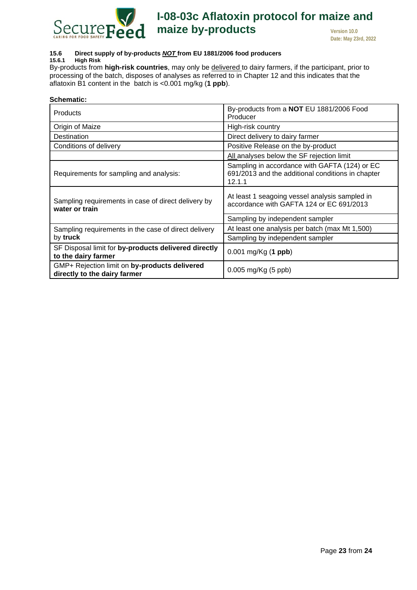

#### <span id="page-22-0"></span>**15.6 Direct supply of by-products** *NOT* **from EU 1881/2006 food producers**

#### **15.6.1 High Risk**

By-products from **high-risk countries**, may only be delivered to dairy farmers, if the participant, prior to processing of the batch, disposes of analyses as referred to in Chapter [12](#page-8-0) and this indicates that the aflatoxin B1 content in the batch is <0.001 mg/kg (**1 ppb**).

#### **Schematic:**

| Products                                                                      | By-products from a NOT EU 1881/2006 Food<br>Producer                                                         |
|-------------------------------------------------------------------------------|--------------------------------------------------------------------------------------------------------------|
| Origin of Maize                                                               | High-risk country                                                                                            |
| Destination                                                                   | Direct delivery to dairy farmer                                                                              |
| Conditions of delivery                                                        | Positive Release on the by-product                                                                           |
|                                                                               | All analyses below the SF rejection limit                                                                    |
| Requirements for sampling and analysis:                                       | Sampling in accordance with GAFTA (124) or EC<br>691/2013 and the additional conditions in chapter<br>12.1.1 |
| Sampling requirements in case of direct delivery by<br>water or train         | At least 1 seagoing vessel analysis sampled in<br>accordance with GAFTA 124 or EC 691/2013                   |
|                                                                               | Sampling by independent sampler                                                                              |
| Sampling requirements in the case of direct delivery<br>by truck              | At least one analysis per batch (max Mt 1,500)                                                               |
|                                                                               | Sampling by independent sampler                                                                              |
| SF Disposal limit for by-products delivered directly<br>to the dairy farmer   | $0.001$ mg/Kg (1 ppb)                                                                                        |
| GMP+ Rejection limit on by-products delivered<br>directly to the dairy farmer | $0.005 \,\text{mg/Kg}$ (5 ppb)                                                                               |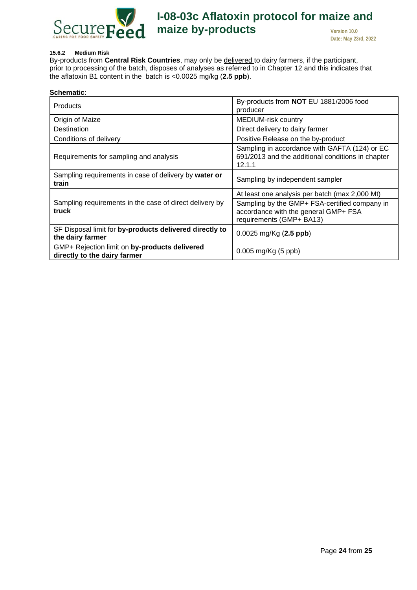

#### **15.6.2 Medium Risk**

By-products from **Central Risk Countries**, may only be delivered to dairy farmers, if the participant, prior to processing of the batch, disposes of analyses as referred to in Chapter [12](#page-8-0) and this indicates that the aflatoxin B1 content in the batch is <0.0025 mg/kg (**2.5 ppb**).

| Schematic:                                                                    |                                                                                                                   |
|-------------------------------------------------------------------------------|-------------------------------------------------------------------------------------------------------------------|
| <b>Products</b>                                                               | By-products from NOT EU 1881/2006 food<br>producer                                                                |
| Origin of Maize                                                               | <b>MEDIUM-risk country</b>                                                                                        |
| Destination                                                                   | Direct delivery to dairy farmer                                                                                   |
| Conditions of delivery                                                        | Positive Release on the by-product                                                                                |
| Requirements for sampling and analysis                                        | Sampling in accordance with GAFTA (124) or EC<br>691/2013 and the additional conditions in chapter<br>12.1.1      |
| Sampling requirements in case of delivery by water or<br>train                | Sampling by independent sampler                                                                                   |
| Sampling requirements in the case of direct delivery by<br>truck              | At least one analysis per batch (max 2,000 Mt)                                                                    |
|                                                                               | Sampling by the GMP+ FSA-certified company in<br>accordance with the general GMP+ FSA<br>requirements (GMP+ BA13) |
| SF Disposal limit for by-products delivered directly to<br>the dairy farmer   | $0.0025$ mg/Kg $(2.5$ ppb)                                                                                        |
| GMP+ Rejection limit on by-products delivered<br>directly to the dairy farmer | 0.005 mg/Kg (5 ppb)                                                                                               |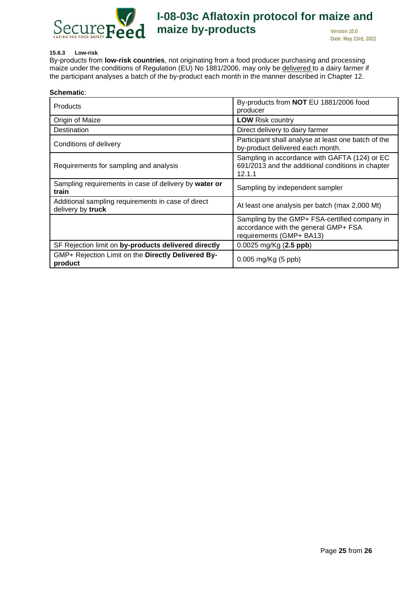

#### <span id="page-24-1"></span>**15.6.3 Low-risk**

By-products from **low-risk countries**, not originating from a food producer purchasing and processing maize under the conditions of Regulation (EU) No 1881/2006, may only be delivered to a dairy farmer if the participant analyses a batch of the by-product each month in the manner described in Chapter [12.](#page-8-0)

<span id="page-24-0"></span>

| Schematic:                                                              |                                                                                                                   |
|-------------------------------------------------------------------------|-------------------------------------------------------------------------------------------------------------------|
| <b>Products</b>                                                         | By-products from NOT EU 1881/2006 food<br>producer                                                                |
| Origin of Maize                                                         | <b>LOW Risk country</b>                                                                                           |
| Destination                                                             | Direct delivery to dairy farmer                                                                                   |
| Conditions of delivery                                                  | Participant shall analyse at least one batch of the<br>by-product delivered each month.                           |
| Requirements for sampling and analysis                                  | Sampling in accordance with GAFTA (124) or EC<br>691/2013 and the additional conditions in chapter<br>12.1.1      |
| Sampling requirements in case of delivery by water or<br>train          | Sampling by independent sampler                                                                                   |
| Additional sampling requirements in case of direct<br>delivery by truck | At least one analysis per batch (max 2,000 Mt)                                                                    |
|                                                                         | Sampling by the GMP+ FSA-certified company in<br>accordance with the general GMP+ FSA<br>requirements (GMP+ BA13) |
| SF Rejection limit on by-products delivered directly                    | $0.0025$ mg/Kg $(2.5$ ppb)                                                                                        |
| GMP+ Rejection Limit on the Directly Delivered By-<br>product           | $0.005$ mg/Kg (5 ppb)                                                                                             |